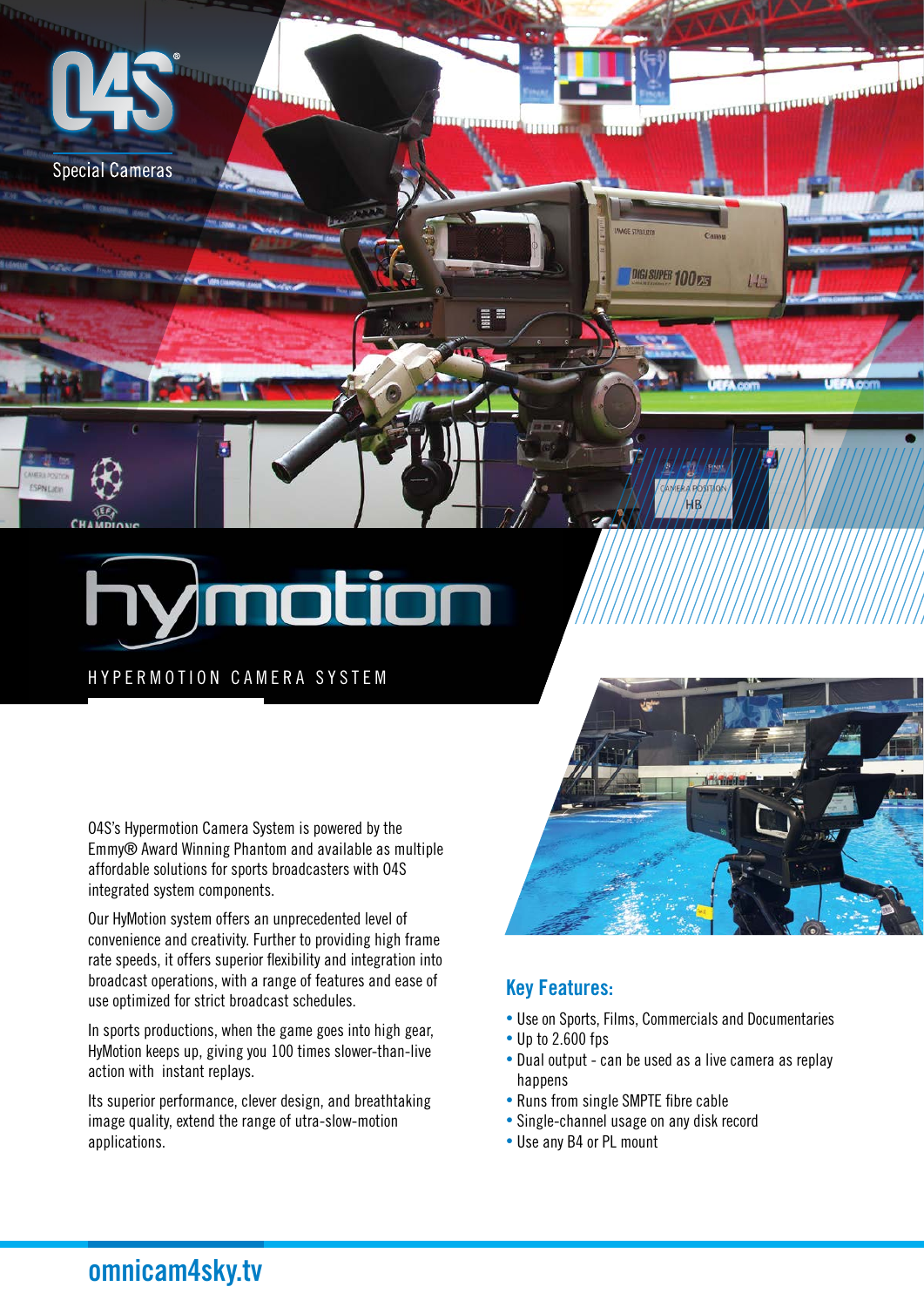

HYPERMOTION CAMERA SYSTEM

O4S's Hypermotion Camera System is powered by the Emmy® Award Winning Phantom and available as multiple affordable solutions for sports broadcasters with O4S integrated system components.

Our HyMotion system offers an unprecedented level of convenience and creativity. Further to providing high frame rate speeds, it offers superior flexibility and integration into broadcast operations, with a range of features and ease of use optimized for strict broadcast schedules.

In sports productions, when the game goes into high gear, HyMotion keeps up, giving you 100 times slower-than-live action with instant replays.

Its superior performance, clever design, and breathtaking image quality, extend the range of utra-slow-motion applications.



#### Key Features:

- Use on Sports, Films, Commercials and Documentaries
- Up to 2.600 fps
- Dual output can be used as a live camera as replay happens
- Runs from single SMPTE fibre cable
- Single-channel usage on any disk record
- Use any B4 or PL mount